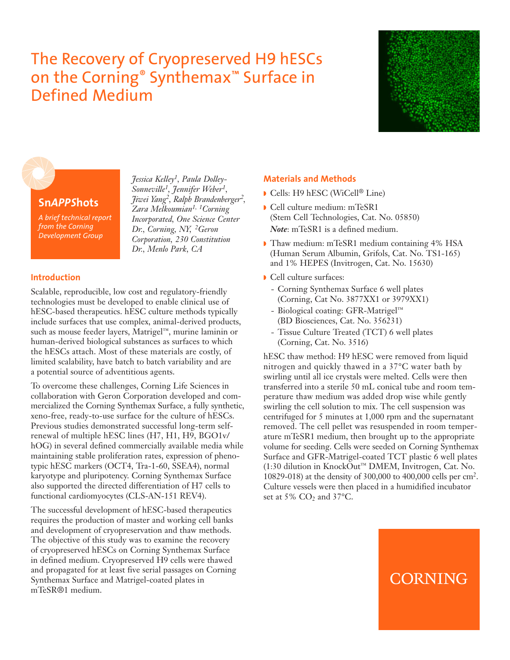## The Recovery of Cryopreserved H9 hESCs on the Corning® Synthemax™ Surface in Defined Medium





## **Sn***APPS***hots**

*A brief technical report from the Corning Development Group*

*Sonneville1, Jennifer Weber1, Jiwei Yang2, Ralph Brandenberger2, Zara Melkoumian1, 1Corning Incorporated, One Science Center Dr., Corning, NY, 2Geron Corporation, 230 Constitution Dr., Menlo Park, CA*

*Jessica Kelley1, Paula Dolley-*

## **Introduction**

Scalable, reproducible, low cost and regulatory-friendly technologies must be developed to enable clinical use of hESC-based therapeutics. hESC culture methods typically include surfaces that use complex, animal-derived products, such as mouse feeder layers, Matrigel™, murine laminin or human-derived biological substances as surfaces to which the hESCs attach. Most of these materials are costly, of limited scalability, have batch to batch variability and are a potential source of adventitious agents.

To overcome these challenges, Corning Life Sciences in collaboration with Geron Corporation developed and commercialized the Corning Synthemax Surface, a fully synthetic, xeno-free, ready-to-use surface for the culture of hESCs. Previous studies demonstrated successful long-term selfrenewal of multiple hESC lines (H7, H1, H9, BGO1v/ hOG) in several defined commercially available media while maintaining stable proliferation rates, expression of phenotypic hESC markers (OCT4, Tra-1-60, SSEA4), normal karyotype and pluripotency. Corning Synthemax Surface also supported the directed differentiation of H7 cells to functional cardiomyocytes (CLS-AN-151 REV4).

The successful development of hESC-based therapeutics requires the production of master and working cell banks and development of cryopreservation and thaw methods. The objective of this study was to examine the recovery of cryopreserved hESCs on Corning Synthemax Surface in defined medium. Cryopreserved H9 cells were thawed and propagated for at least five serial passages on Corning Synthemax Surface and Matrigel-coated plates in mTeSR®1 medium.

## **Materials and Methods**

- **◗** Cells: H9 hESC (WiCell ® Line)
- **◗** Cell culture medium: mTeSR1 (Stem Cell Technologies, Cat. No. 05850) *Note*: mTeSR1 is a defined medium.
- **◗** Thaw medium: mTeSR1 medium containing 4% HSA (Human Serum Albumin, Grifols, Cat. No. TS1-165) and 1% HEPES (Invitrogen, Cat. No. 15630)
- **◗** Cell culture surfaces:
	- Corning Synthemax Surface 6 well plates (Corning, Cat No. 3877XX1 or 3979XX1)
	- Biological coating: GFR-Matrigel™ (BD Biosciences, Cat. No. 356231)
	- Tissue Culture Treated (TCT) 6 well plates (Corning, Cat. No. 3516)

hESC thaw method: H9 hESC were removed from liquid nitrogen and quickly thawed in a 37°C water bath by swirling until all ice crystals were melted. Cells were then transferred into a sterile 50 mL conical tube and room temperature thaw medium was added drop wise while gently swirling the cell solution to mix. The cell suspension was centrifuged for 5 minutes at 1,000 rpm and the supernatant removed. The cell pellet was resuspended in room temperature mTeSR1 medium, then brought up to the appropriate volume for seeding. Cells were seeded on Corning Synthemax Surface and GFR-Matrigel-coated TCT plastic 6 well plates (1:30 dilution in KnockOut™ DMEM, Invitrogen, Cat. No. 10829-018) at the density of 300,000 to 400,000 cells per cm2. Culture vessels were then placed in a humidified incubator set at 5%  $CO<sub>2</sub>$  and 37°C.

# CORNING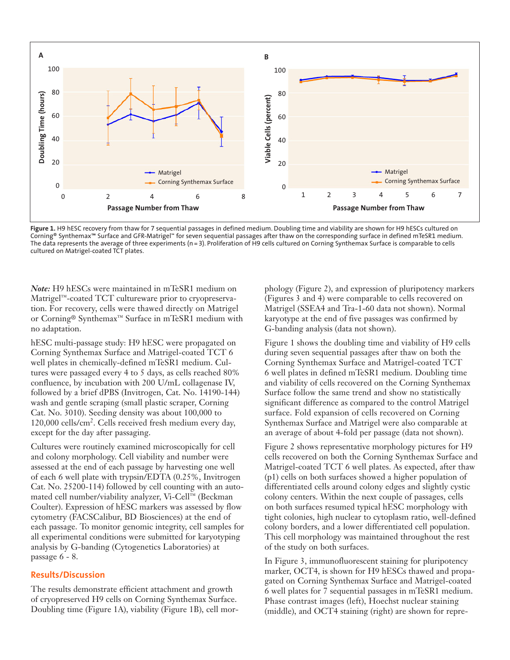

**Figure 1.** H9 hESC recovery from thaw for 7 sequential passages in defined medium. Doubling time and viability are shown for H9 hESCs cultured on Corning® Synthemax™ Surface and GFR-Matrigel™ for seven sequential passages after thaw on the corresponding surface in defined mTeSR1 medium. The data represents the average of three experiments (n=3). Proliferation of H9 cells cultured on Corning Synthemax Surface is comparable to cells cultured on Matrigel-coated TCT plates.

*Note:* H9 hESCs were maintained in mTeSR1 medium on Matrigel™-coated TCT cultureware prior to cryopreservation. For recovery, cells were thawed directly on Matrigel or Corning® Synthemax™ Surface in mTeSR1 medium with no adaptation.

hESC multi-passage study: H9 hESC were propagated on Corning Synthemax Surface and Matrigel-coated TCT 6 well plates in chemically-defined mTeSR1 medium. Cultures were passaged every 4 to 5 days, as cells reached 80% confluence, by incubation with 200 U/mL collagenase IV, followed by a brief dPBS (Invitrogen, Cat. No. 14190-144) wash and gentle scraping (small plastic scraper, Corning Cat. No. 3010). Seeding density was about 100,000 to 120,000 cells/cm2. Cells received fresh medium every day, except for the day after passaging.

Cultures were routinely examined microscopically for cell and colony morphology. Cell viability and number were assessed at the end of each passage by harvesting one well of each 6 well plate with trypsin/EDTA (0.25%, Invitrogen Cat. No. 25200-114) followed by cell counting with an automated cell number/viability analyzer, Vi-Cell™ (Beckman Coulter). Expression of hESC markers was assessed by flow cytometry (FACSCalibur, BD Biosciences) at the end of each passage. To monitor genomic integrity, cell samples for all experimental conditions were submitted for karyotyping analysis by G-banding (Cytogenetics Laboratories) at passage 6 - 8.

## **Results/Discussion**

The results demonstrate efficient attachment and growth of cryopreserved H9 cells on Corning Synthemax Surface. Doubling time (Figure 1A), viability (Figure 1B), cell morphology (Figure 2), and expression of pluripotency markers (Figures 3 and 4) were comparable to cells recovered on Matrigel (SSEA4 and Tra-1-60 data not shown). Normal karyotype at the end of five passages was confirmed by G-banding analysis (data not shown).

Figure 1 shows the doubling time and viability of H9 cells during seven sequential passages after thaw on both the Corning Synthemax Surface and Matrigel-coated TCT 6 well plates in defined mTeSR1 medium. Doubling time and viability of cells recovered on the Corning Synthemax Surface follow the same trend and show no statistically significant difference as compared to the control Matrigel surface. Fold expansion of cells recovered on Corning Synthemax Surface and Matrigel were also comparable at an average of about 4-fold per passage (data not shown).

Figure 2 shows representative morphology pictures for H9 cells recovered on both the Corning Synthemax Surface and Matrigel-coated TCT 6 well plates. As expected, after thaw (p1) cells on both surfaces showed a higher population of differentiated cells around colony edges and slightly cystic colony centers. Within the next couple of passages, cells on both surfaces resumed typical hESC morphology with tight colonies, high nuclear to cytoplasm ratio, well-defined colony borders, and a lower differentiated cell population. This cell morphology was maintained throughout the rest of the study on both surfaces.

In Figure 3, immunofluorescent staining for pluripotency marker, OCT4, is shown for H9 hESCs thawed and propagated on Corning Synthemax Surface and Matrigel-coated 6 well plates for 7 sequential passages in mTeSR1 medium. Phase contrast images (left), Hoechst nuclear staining (middle), and OCT4 staining (right) are shown for repre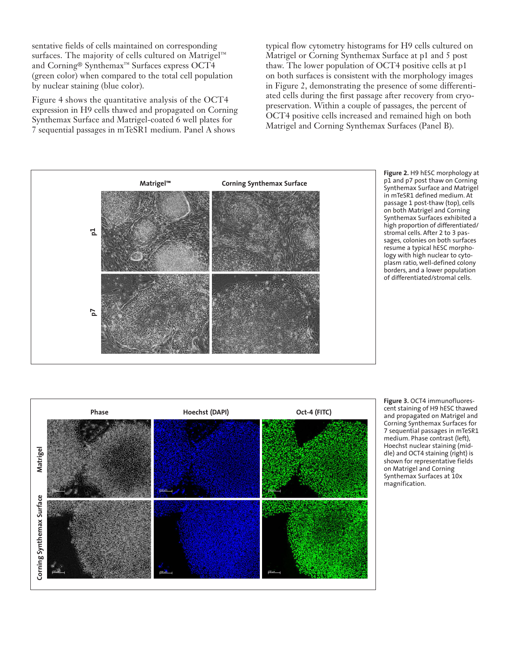sentative fields of cells maintained on corresponding surfaces. The majority of cells cultured on Matrigel™ and Corning® Synthemax™ Surfaces express OCT4 (green color) when compared to the total cell population by nuclear staining (blue color).

Figure 4 shows the quantitative analysis of the OCT4 expression in H9 cells thawed and propagated on Corning Synthemax Surface and Matrigel-coated 6 well plates for 7 sequential passages in mTeSR1 medium. Panel A shows

typical flow cytometry histograms for H9 cells cultured on Matrigel or Corning Synthemax Surface at p1 and 5 post thaw. The lower population of OCT4 positive cells at p1 on both surfaces is consistent with the morphology images in Figure 2, demonstrating the presence of some differentiated cells during the first passage after recovery from cryopreservation. Within a couple of passages, the percent of OCT4 positive cells increased and remained high on both Matrigel and Corning Synthemax Surfaces (Panel B).







**Figure 3.** OCT4 immunofluorescent staining of H9 hESC thawed and propagated on Matrigel and Corning Synthemax Surfaces for 7 sequential passages in mTeSR1 medium. Phase contrast (left), Hoechst nuclear staining (middle) and OCT4 staining (right) is shown for representative fields on Matrigel and Corning Synthemax Surfaces at 10x magnification.